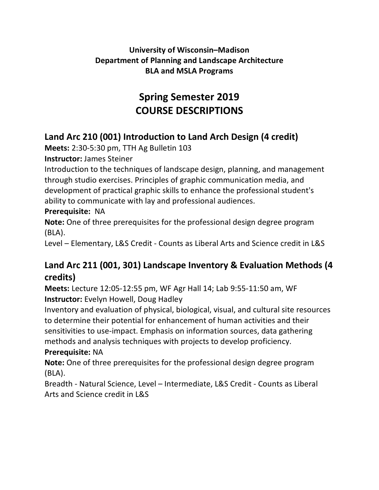#### **University of Wisconsin–Madison Department of Planning and Landscape Architecture BLA and MSLA Programs**

# **Spring Semester 2019 COURSE DESCRIPTIONS**

## **Land Arc 210 (001) Introduction to Land Arch Design (4 credit)**

**Meets:** 2:30-5:30 pm, TTH Ag Bulletin 103

**Instructor:** James Steiner

Introduction to the techniques of landscape design, planning, and management through studio exercises. Principles of graphic communication media, and development of practical graphic skills to enhance the professional student's ability to communicate with lay and professional audiences.

#### **Prerequisite:** NA

**Note:** One of three prerequisites for the professional design degree program (BLA).

Level – Elementary, L&S Credit - Counts as Liberal Arts and Science credit in L&S

## **Land Arc 211 (001, 301) Landscape Inventory & Evaluation Methods (4 credits)**

**Meets:** Lecture 12:05-12:55 pm, WF Agr Hall 14; Lab 9:55-11:50 am, WF **Instructor:** Evelyn Howell, Doug Hadley

Inventory and evaluation of physical, biological, visual, and cultural site resources to determine their potential for enhancement of human activities and their sensitivities to use-impact. Emphasis on information sources, data gathering methods and analysis techniques with projects to develop proficiency.

#### **Prerequisite:** NA

**Note:** One of three prerequisites for the professional design degree program (BLA).

Breadth - Natural Science, Level – Intermediate, L&S Credit - Counts as Liberal Arts and Science credit in L&S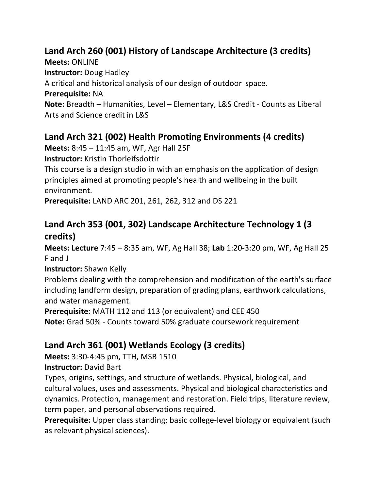## **Land Arch 260 (001) History of Landscape Architecture (3 credits)**

**Meets:** ONLINE

**Instructor:** Doug Hadley

A critical and historical analysis of our design of outdoor space.

**Prerequisite:** NA

**Note:** Breadth – Humanities, Level – Elementary, L&S Credit - Counts as Liberal Arts and Science credit in L&S

## **Land Arch 321 (002) Health Promoting Environments (4 credits)**

**Meets:** 8:45 – 11:45 am, WF, Agr Hall 25F

**Instructor:** Kristin Thorleifsdottir

This course is a design studio in with an emphasis on the application of design principles aimed at promoting people's health and wellbeing in the built environment.

**Prerequisite:** LAND ARC 201, 261, 262, 312 and DS 221

### **Land Arch 353 (001, 302) Landscape Architecture Technology 1 (3 credits)**

**Meets: Lecture** 7:45 – 8:35 am, WF, Ag Hall 38; **Lab** 1:20-3:20 pm, WF, Ag Hall 25 F and J

**Instructor:** Shawn Kelly

Problems dealing with the comprehension and modification of the earth's surface including landform design, preparation of grading plans, earthwork calculations, and water management.

**Prerequisite:** MATH 112 and 113 (or equivalent) and CEE 450

**Note:** Grad 50% - Counts toward 50% graduate coursework requirement

## **Land Arch 361 (001) Wetlands Ecology (3 credits)**

**Meets:** 3:30-4:45 pm, TTH, MSB 1510

#### **Instructor:** David Bart

Types, origins, settings, and structure of wetlands. Physical, biological, and cultural values, uses and assessments. Physical and biological characteristics and dynamics. Protection, management and restoration. Field trips, literature review, term paper, and personal observations required.

**Prerequisite:** Upper class standing; basic college-level biology or equivalent (such as relevant physical sciences).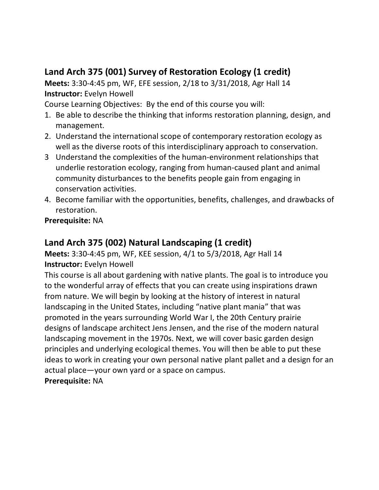## **Land Arch 375 (001) Survey of Restoration Ecology (1 credit)**

**Meets:** 3:30-4:45 pm, WF, EFE session, 2/18 to 3/31/2018, Agr Hall 14 **Instructor:** Evelyn Howell

Course Learning Objectives: By the end of this course you will:

- 1. Be able to describe the thinking that informs restoration planning, design, and management.
- 2. Understand the international scope of contemporary restoration ecology as well as the diverse roots of this interdisciplinary approach to conservation.
- 3 Understand the complexities of the human-environment relationships that underlie restoration ecology, ranging from human-caused plant and animal community disturbances to the benefits people gain from engaging in conservation activities.
- 4. Become familiar with the opportunities, benefits, challenges, and drawbacks of restoration.

**Prerequisite:** NA

#### **Land Arch 375 (002) Natural Landscaping (1 credit)**

#### **Meets:** 3:30-4:45 pm, WF, KEE session, 4/1 to 5/3/2018, Agr Hall 14 **Instructor:** Evelyn Howell

This course is all about gardening with native plants. The goal is to introduce you to the wonderful array of effects that you can create using inspirations drawn from nature. We will begin by looking at the history of interest in natural landscaping in the United States, including "native plant mania" that was promoted in the years surrounding World War I, the 20th Century prairie designs of landscape architect Jens Jensen, and the rise of the modern natural landscaping movement in the 1970s. Next, we will cover basic garden design principles and underlying ecological themes. You will then be able to put these ideas to work in creating your own personal native plant pallet and a design for an actual place—your own yard or a space on campus. **Prerequisite:** NA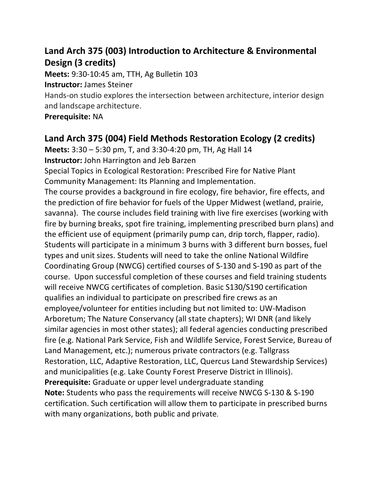## **Land Arch 375 (003) Introduction to Architecture & Environmental Design (3 credits)**

**Meets:** 9:30-10:45 am, TTH, Ag Bulletin 103 **Instructor:** James Steiner

Hands-on studio explores the intersection between architecture, interior design and landscape architecture.

#### **Prerequisite:** NA

## **Land Arch 375 (004) Field Methods Restoration Ecology (2 credits)**

**Meets:** 3:30 – 5:30 pm, T, and 3:30-4:20 pm, TH, Ag Hall 14 **Instructor:** John Harrington and Jeb Barzen Special Topics in Ecological Restoration: Prescribed Fire for Native Plant Community Management: Its Planning and Implementation. The course provides a background in fire ecology, fire behavior, fire effects, and the prediction of fire behavior for fuels of the Upper Midwest (wetland, prairie, savanna). The course includes field training with live fire exercises (working with fire by burning breaks, spot fire training, implementing prescribed burn plans) and the efficient use of equipment (primarily pump can, drip torch, flapper, radio). Students will participate in a minimum 3 burns with 3 different burn bosses, fuel types and unit sizes. Students will need to take the online National Wildfire Coordinating Group (NWCG) certified courses of S-130 and S-190 as part of the course. Upon successful completion of these courses and field training students will receive NWCG certificates of completion. Basic S130/S190 certification qualifies an individual to participate on prescribed fire crews as an employee/volunteer for entities including but not limited to: UW-Madison Arboretum; The Nature Conservancy (all state chapters); WI DNR (and likely similar agencies in most other states); all federal agencies conducting prescribed fire (e.g. National Park Service, Fish and Wildlife Service, Forest Service, Bureau of Land Management, etc.); numerous private contractors (e.g. Tallgrass Restoration, LLC, Adaptive Restoration, LLC, Quercus Land Stewardship Services) and municipalities (e.g. Lake County Forest Preserve District in Illinois). **Prerequisite:** Graduate or upper level undergraduate standing **Note:** Students who pass the requirements will receive NWCG S-130 & S-190 certification. Such certification will allow them to participate in prescribed burns with many organizations, both public and private.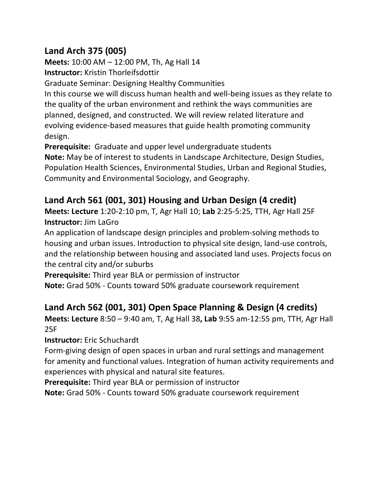## **Land Arch 375 (005)**

**Meets:** 10:00 AM – 12:00 PM, Th, Ag Hall 14 **Instructor:** Kristin Thorleifsdottir

Graduate Seminar: Designing Healthy Communities

In this course we will discuss human health and well-being issues as they relate to the quality of the urban environment and rethink the ways communities are planned, designed, and constructed. We will review related literature and evolving evidence-based measures that guide health promoting community design.

**Prerequisite:** Graduate and upper level undergraduate students

**Note:** May be of interest to students in Landscape Architecture, Design Studies, Population Health Sciences, Environmental Studies, Urban and Regional Studies, Community and Environmental Sociology, and Geography.

### **Land Arch 561 (001, 301) Housing and Urban Design (4 credit)**

**Meets: Lecture** 1:20-2:10 pm, T, Agr Hall 10; **Lab** 2:25-5:25, TTH, Agr Hall 25F **Instructor:** Jim LaGro

An application of landscape design principles and problem-solving methods to housing and urban issues. Introduction to physical site design, land-use controls, and the relationship between housing and associated land uses. Projects focus on the central city and/or suburbs

**Prerequisite:** Third year BLA or permission of instructor

**Note:** Grad 50% - Counts toward 50% graduate coursework requirement

### **Land Arch 562 (001, 301) Open Space Planning & Design (4 credits)**

**Meets: Lecture** 8:50 – 9:40 am, T, Ag Hall 38**, Lab** 9:55 am-12:55 pm, TTH, Agr Hall 25F

**Instructor:** Eric Schuchardt

Form-giving design of open spaces in urban and rural settings and management for amenity and functional values. Integration of human activity requirements and experiences with physical and natural site features.

**Prerequisite:** Third year BLA or permission of instructor

**Note:** Grad 50% - Counts toward 50% graduate coursework requirement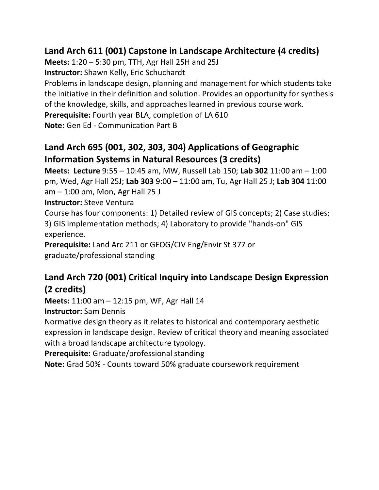## **Land Arch 611 (001) Capstone in Landscape Architecture (4 credits)**

**Meets:** 1:20 – 5:30 pm, TTH, Agr Hall 25H and 25J **Instructor:** Shawn Kelly, Eric Schuchardt Problems in landscape design, planning and management for which students take the initiative in their definition and solution. Provides an opportunity for synthesis of the knowledge, skills, and approaches learned in previous course work. **Prerequisite:** Fourth year BLA, completion of LA 610 **Note:** Gen Ed - Communication Part B

## **Land Arch 695 (001, 302, 303, 304) Applications of Geographic Information Systems in Natural Resources (3 credits)**

**Meets: Lecture** 9:55 – 10:45 am, MW, Russell Lab 150; **Lab 302** 11:00 am – 1:00 pm, Wed, Agr Hall 25J; **Lab 303** 9:00 – 11:00 am, Tu, Agr Hall 25 J; **Lab 304** 11:00 am – 1:00 pm, Mon, Agr Hall 25 J

**Instructor:** Steve Ventura

Course has four components: 1) Detailed review of GIS concepts; 2) Case studies; 3) GIS implementation methods; 4) Laboratory to provide "hands-on" GIS experience.

**Prerequisite:** Land Arc 211 or GEOG/CIV Eng/Envir St 377 or graduate/professional standing

## **Land Arch 720 (001) Critical Inquiry into Landscape Design Expression (2 credits)**

**Meets:** 11:00 am – 12:15 pm, WF, Agr Hall 14

**Instructor:** Sam Dennis

Normative design theory as it relates to historical and contemporary aesthetic expression in landscape design. Review of critical theory and meaning associated with a broad landscape architecture typology.

**Prerequisite:** Graduate/professional standing

**Note:** Grad 50% - Counts toward 50% graduate coursework requirement